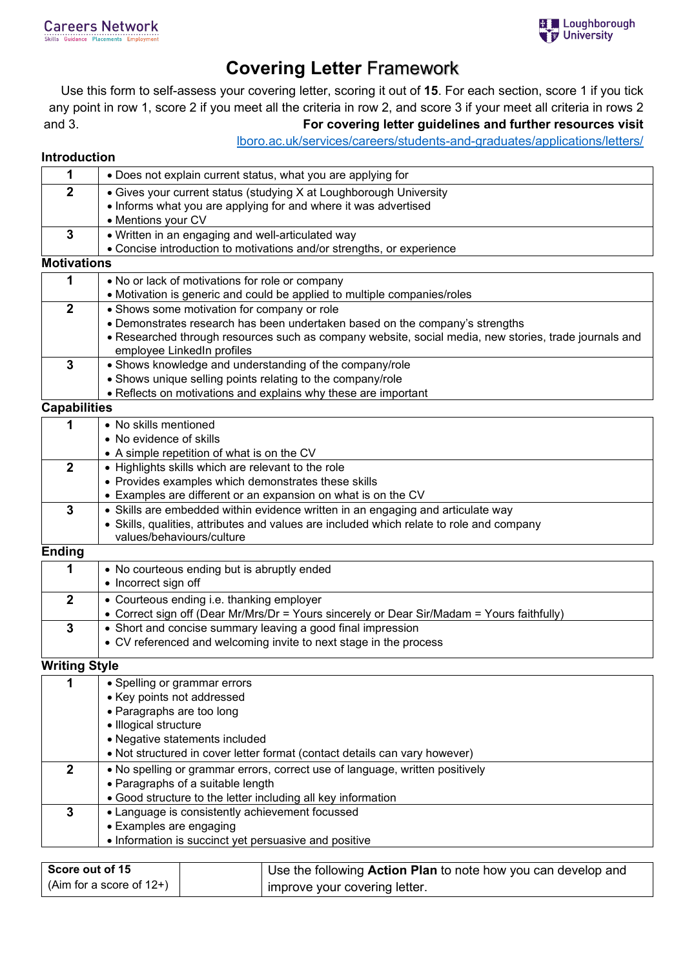

## **Covering Letter** Framework

Use this form to self-assess your covering letter, scoring it out of **15**. For each section, score 1 if you tick any point in row 1, score 2 if you meet all the criteria in row 2, and score 3 if your meet all criteria in rows 2 and 3. **For covering letter guidelines and further resources visit** 

[lboro.ac.uk/services/careers/students-and-graduates/applications/letters/](https://www.lboro.ac.uk/services/careers/students-and-graduates/applications/letters/)

## **Introduction**

| 1                    | • Does not explain current status, what you are applying for                                                                            |  |  |
|----------------------|-----------------------------------------------------------------------------------------------------------------------------------------|--|--|
| $\overline{2}$       | • Gives your current status (studying X at Loughborough University                                                                      |  |  |
|                      | • Informs what you are applying for and where it was advertised                                                                         |  |  |
|                      | • Mentions your CV                                                                                                                      |  |  |
| $\mathbf{3}$         | . Written in an engaging and well-articulated way                                                                                       |  |  |
|                      | • Concise introduction to motivations and/or strengths, or experience                                                                   |  |  |
| <b>Motivations</b>   |                                                                                                                                         |  |  |
| 1                    | . No or lack of motivations for role or company                                                                                         |  |  |
|                      | • Motivation is generic and could be applied to multiple companies/roles                                                                |  |  |
| $\overline{2}$       | • Shows some motivation for company or role                                                                                             |  |  |
|                      | • Demonstrates research has been undertaken based on the company's strengths                                                            |  |  |
|                      | • Researched through resources such as company website, social media, new stories, trade journals and<br>employee LinkedIn profiles     |  |  |
| $\overline{3}$       | • Shows knowledge and understanding of the company/role                                                                                 |  |  |
|                      | • Shows unique selling points relating to the company/role                                                                              |  |  |
|                      | • Reflects on motivations and explains why these are important                                                                          |  |  |
| <b>Capabilities</b>  |                                                                                                                                         |  |  |
| 1                    | • No skills mentioned                                                                                                                   |  |  |
|                      | • No evidence of skills                                                                                                                 |  |  |
|                      | • A simple repetition of what is on the CV                                                                                              |  |  |
| $\overline{2}$       | • Highlights skills which are relevant to the role                                                                                      |  |  |
|                      | • Provides examples which demonstrates these skills                                                                                     |  |  |
|                      | • Examples are different or an expansion on what is on the CV                                                                           |  |  |
| $\mathbf{3}$         | • Skills are embedded within evidence written in an engaging and articulate way                                                         |  |  |
|                      | • Skills, qualities, attributes and values are included which relate to role and company<br>values/behaviours/culture                   |  |  |
| <b>Ending</b>        |                                                                                                                                         |  |  |
|                      |                                                                                                                                         |  |  |
| 1                    | • No courteous ending but is abruptly ended<br>• Incorrect sign off                                                                     |  |  |
| $\overline{2}$       |                                                                                                                                         |  |  |
|                      | • Courteous ending i.e. thanking employer<br>• Correct sign off (Dear Mr/Mrs/Dr = Yours sincerely or Dear Sir/Madam = Yours faithfully) |  |  |
| $\overline{3}$       | • Short and concise summary leaving a good final impression                                                                             |  |  |
|                      | • CV referenced and welcoming invite to next stage in the process                                                                       |  |  |
|                      |                                                                                                                                         |  |  |
| <b>Writing Style</b> |                                                                                                                                         |  |  |
| $\mathbf 1$          | · Spelling or grammar errors                                                                                                            |  |  |
|                      | • Key points not addressed                                                                                                              |  |  |
|                      | • Paragraphs are too long                                                                                                               |  |  |
|                      | · Illogical structure                                                                                                                   |  |  |
|                      | • Negative statements included                                                                                                          |  |  |
|                      | • Not structured in cover letter format (contact details can vary however)                                                              |  |  |
| $\boldsymbol{2}$     | . No spelling or grammar errors, correct use of language, written positively                                                            |  |  |
|                      | • Paragraphs of a suitable length<br>• Good structure to the letter including all key information                                       |  |  |
| $\mathbf{3}$         | • Language is consistently achievement focussed                                                                                         |  |  |
|                      | • Examples are engaging                                                                                                                 |  |  |
|                      | • Information is succinct yet persuasive and positive                                                                                   |  |  |
|                      |                                                                                                                                         |  |  |

| Score out of 15            | Use the following Action Plan to note how you can develop and |  |
|----------------------------|---------------------------------------------------------------|--|
| $(Aim for a score of 12+)$ | improve your covering letter.                                 |  |